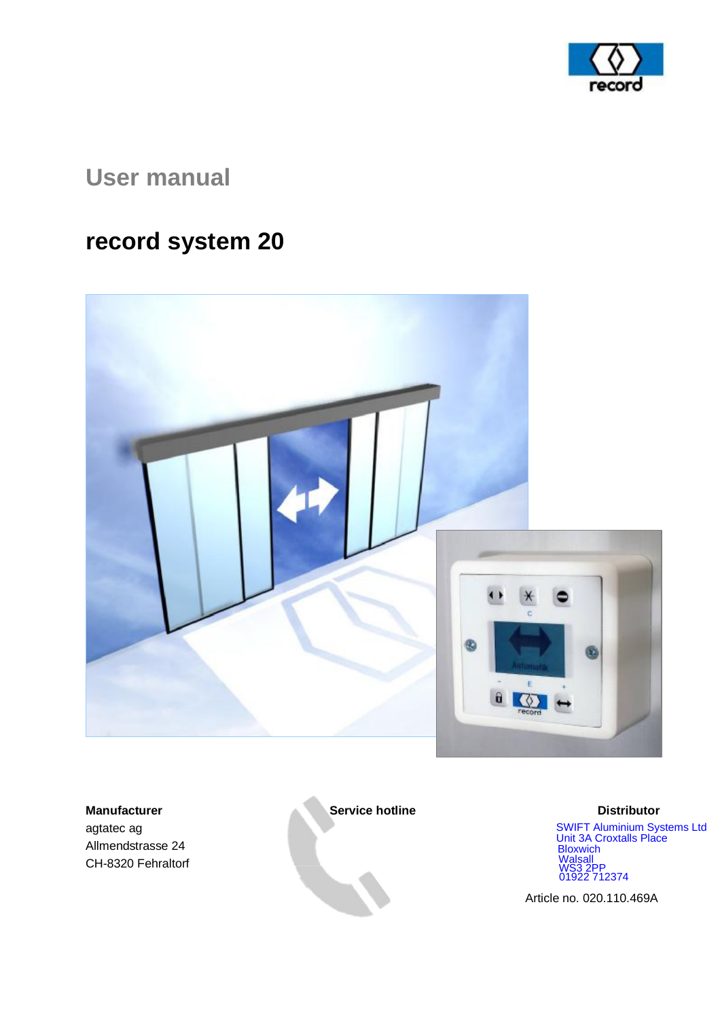

# **User manual**

# **record system 20**



**Manufacturer Service hotline Service in the Service of the Service hotline Distributor** agtatec ag Allmendstrasse 24 CH-8320 Fehraltorf

 SWIFT Aluminium Systems Ltd Unit 3A Croxtalls Place<br>Bloxwich<br>Walsall<br>WS3 2PP<br>01922 712374

Article no. 020.110.469A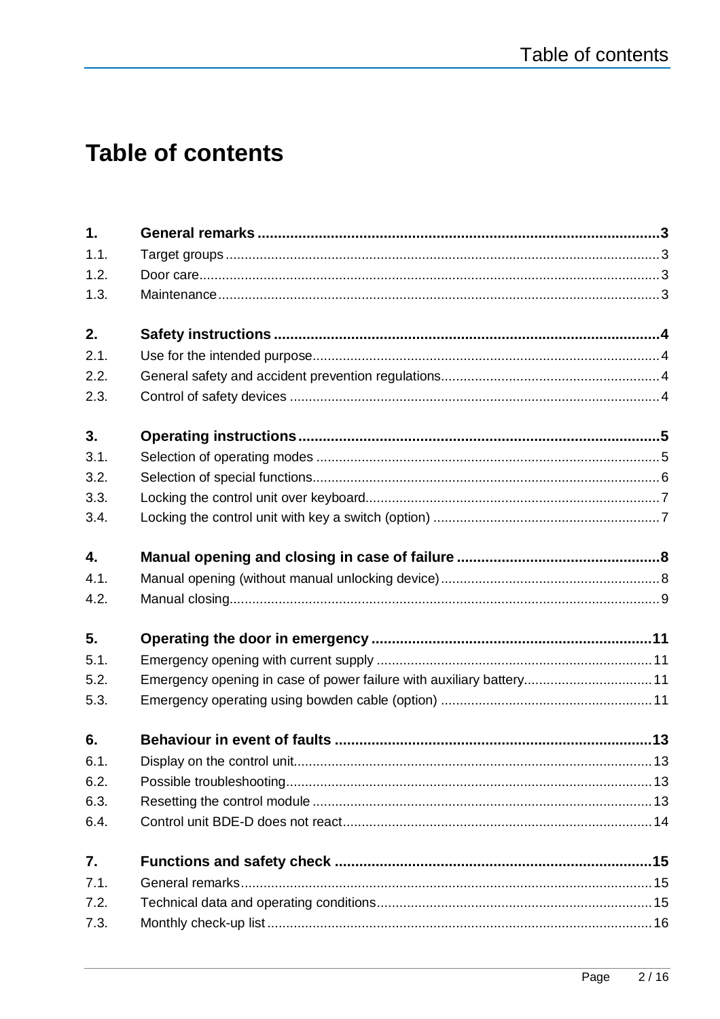# **Table of contents**

| 1.   |                                                                     |  |
|------|---------------------------------------------------------------------|--|
| 1.1. |                                                                     |  |
| 1.2. |                                                                     |  |
| 1.3. |                                                                     |  |
| 2.   |                                                                     |  |
| 2.1. |                                                                     |  |
| 2.2. |                                                                     |  |
| 2.3. |                                                                     |  |
| 3.   |                                                                     |  |
| 3.1. |                                                                     |  |
| 3.2. |                                                                     |  |
| 3.3. |                                                                     |  |
| 3.4. |                                                                     |  |
| 4.   |                                                                     |  |
| 4.1. |                                                                     |  |
| 4.2. |                                                                     |  |
| 5.   |                                                                     |  |
| 5.1. |                                                                     |  |
| 5.2. | Emergency opening in case of power failure with auxiliary battery11 |  |
| 5.3. |                                                                     |  |
| 6.   |                                                                     |  |
| 6.1  |                                                                     |  |
| 6.2. |                                                                     |  |
| 6.3. |                                                                     |  |
| 6.4. |                                                                     |  |
| 7.   |                                                                     |  |
| 7.1. |                                                                     |  |
| 7.2. |                                                                     |  |
| 7.3. |                                                                     |  |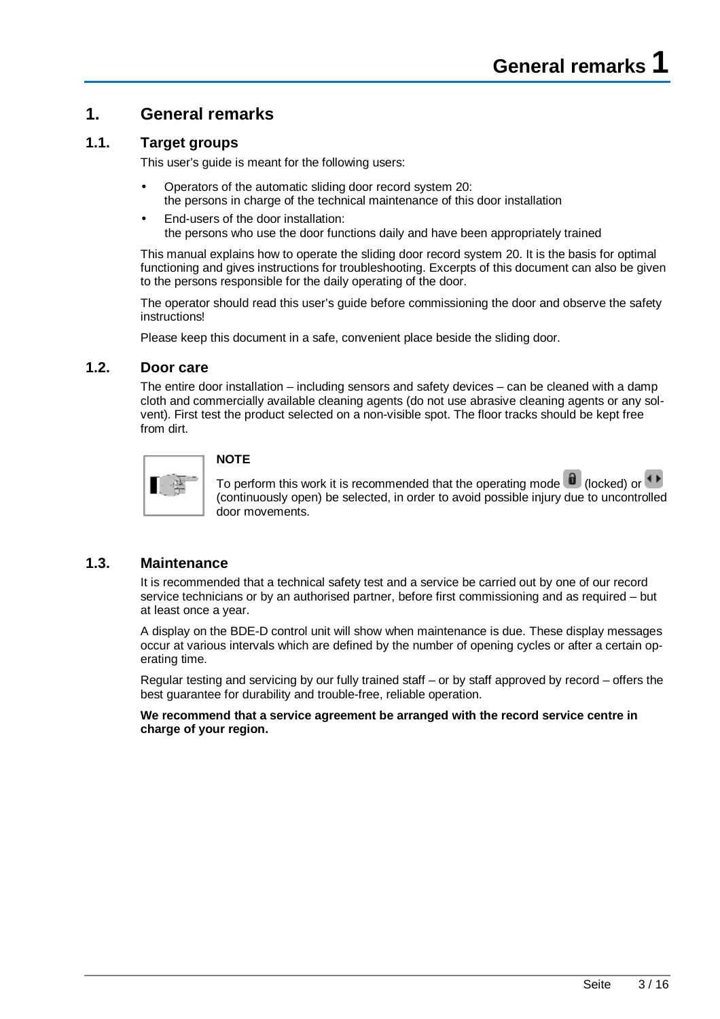# **1. General remarks**

### **1.1. Target groups**

This user's guide is meant for the following users:

- Operators of the automatic sliding door record system 20: the persons in charge of the technical maintenance of this door installation
- End-users of the door installation: the persons who use the door functions daily and have been appropriately trained

This manual explains how to operate the sliding door record system 20. It is the basis for optimal functioning and gives instructions for troubleshooting. Excerpts of this document can also be given to the persons responsible for the daily operating of the door.

The operator should read this user's guide before commissioning the door and observe the safety instructions!

Please keep this document in a safe, convenient place beside the sliding door.

### **1.2. Door care**

The entire door installation – including sensors and safety devices – can be cleaned with a damp cloth and commercially available cleaning agents (do not use abrasive cleaning agents or any solvent). First test the product selected on a non-visible spot. The floor tracks should be kept free from dirt.



### **NOTE**

To perform this work it is recommended that the operating mode  $\blacksquare$  (locked) or  $\blacklozenge$ (continuously open) be selected, in order to avoid possible injury due to uncontrolled door movements.

### **1.3. Maintenance**

It is recommended that a technical safety test and a service be carried out by one of our record service technicians or by an authorised partner, before first commissioning and as required – but at least once a year.

A display on the BDE-D control unit will show when maintenance is due. These display messages occur at various intervals which are defined by the number of opening cycles or after a certain operating time.

Regular testing and servicing by our fully trained staff – or by staff approved by record – offers the best guarantee for durability and trouble-free, reliable operation.

**We recommend that a service agreement be arranged with the record service centre in charge of your region.**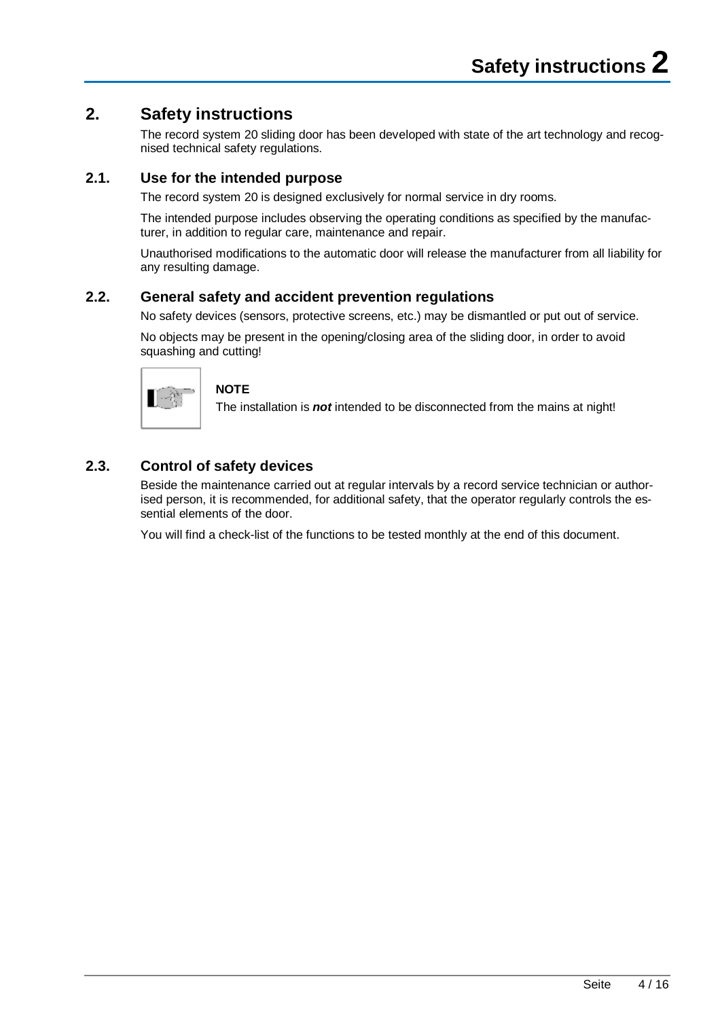# **2. Safety instructions**

The record system 20 sliding door has been developed with state of the art technology and recognised technical safety regulations.

## **2.1. Use for the intended purpose**

The record system 20 is designed exclusively for normal service in dry rooms.

The intended purpose includes observing the operating conditions as specified by the manufacturer, in addition to regular care, maintenance and repair.

Unauthorised modifications to the automatic door will release the manufacturer from all liability for any resulting damage.

### **2.2. General safety and accident prevention regulations**

No safety devices (sensors, protective screens, etc.) may be dismantled or put out of service.

No objects may be present in the opening/closing area of the sliding door, in order to avoid squashing and cutting!



#### **NOTE**

The installation is *not* intended to be disconnected from the mains at night!

## **2.3. Control of safety devices**

Beside the maintenance carried out at regular intervals by a record service technician or authorised person, it is recommended, for additional safety, that the operator regularly controls the essential elements of the door.

You will find a check-list of the functions to be tested monthly at the end of this document.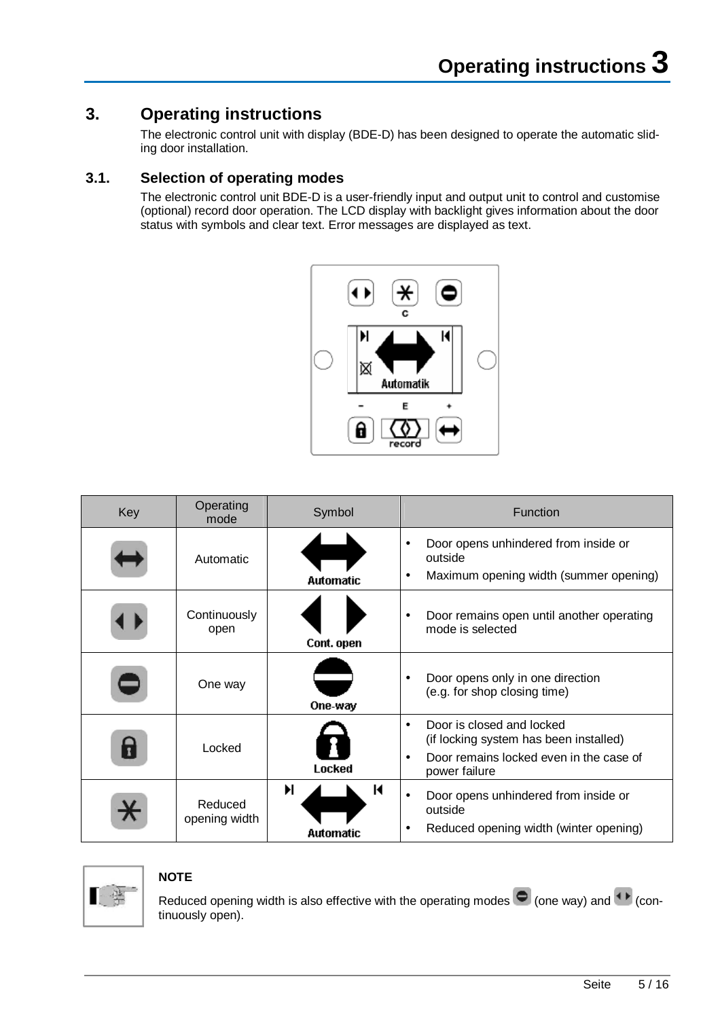# **3. Operating instructions**

The electronic control unit with display (BDE-D) has been designed to operate the automatic sliding door installation.

## **3.1. Selection of operating modes**

The electronic control unit BDE-D is a user-friendly input and output unit to control and customise (optional) record door operation. The LCD display with backlight gives information about the door status with symbols and clear text. Error messages are displayed as text.



| Key | Operating<br>mode        | Symbol              | Function                                                                                                                                                  |
|-----|--------------------------|---------------------|-----------------------------------------------------------------------------------------------------------------------------------------------------------|
|     | Automatic                | <b>Automatic</b>    | Door opens unhindered from inside or<br>outside<br>Maximum opening width (summer opening)<br>٠                                                            |
|     | Continuously<br>open     | Cont. open          | Door remains open until another operating<br>$\bullet$<br>mode is selected                                                                                |
|     | One way                  | One-way             | Door opens only in one direction<br>(e.g. for shop closing time)                                                                                          |
| 7   | Locked                   | Locked              | Door is closed and locked<br>$\bullet$<br>(if locking system has been installed)<br>Door remains locked even in the case of<br>$\bullet$<br>power failure |
|     | Reduced<br>opening width | Ħ<br>К<br>Automatic | Door opens unhindered from inside or<br>$\bullet$<br>outside<br>Reduced opening width (winter opening)                                                    |



#### **NOTE**

Reduced opening width is also effective with the operating modes  $\bigcirc$  (one way) and  $\bigcirc$  (continuously open).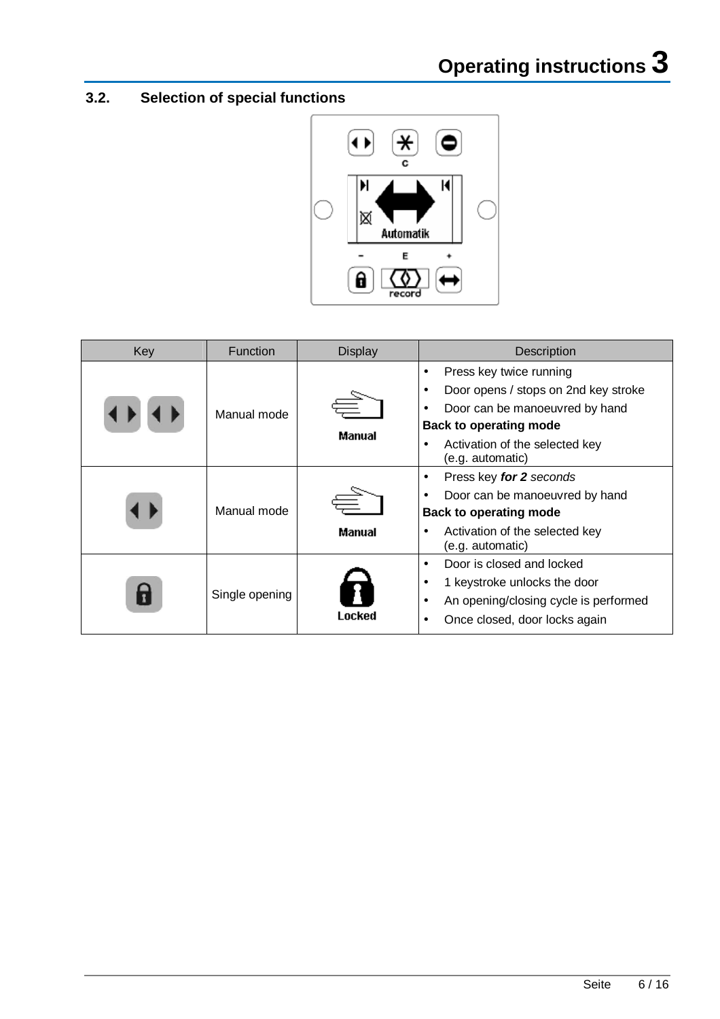# **3.2. Selection of special functions**



| Key | Function       | <b>Display</b><br>Description |                                                                                                                                                                                          |
|-----|----------------|-------------------------------|------------------------------------------------------------------------------------------------------------------------------------------------------------------------------------------|
|     | Manual mode    | Manual                        | Press key twice running<br>Door opens / stops on 2nd key stroke<br>Door can be manoeuvred by hand<br><b>Back to operating mode</b><br>Activation of the selected key<br>(e.g. automatic) |
|     | Manual mode    | Manual                        | Press key for 2 seconds<br>$\bullet$<br>Door can be manoeuvred by hand<br><b>Back to operating mode</b><br>Activation of the selected key<br>(e.g. automatic)                            |
| T   | Single opening | Locked                        | Door is closed and locked<br>٠<br>1 keystroke unlocks the door<br>An opening/closing cycle is performed<br>$\bullet$<br>Once closed, door locks again                                    |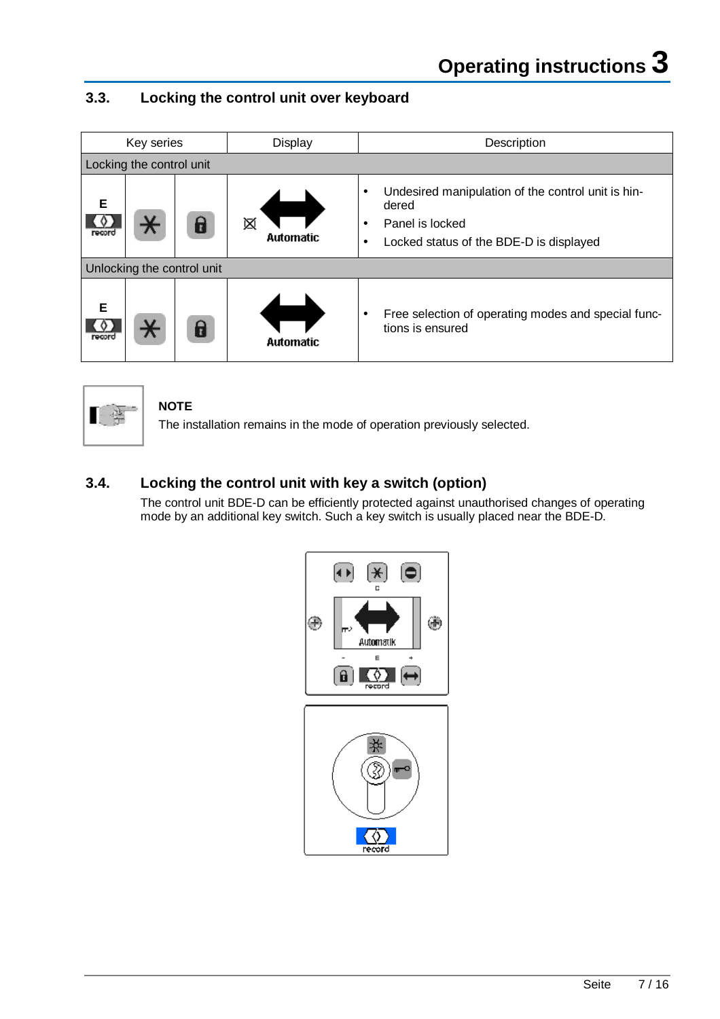# **3.3. Locking the control unit over keyboard**

|             | Key series                 |  | Display               | Description                                                                                                                                                      |  |
|-------------|----------------------------|--|-----------------------|------------------------------------------------------------------------------------------------------------------------------------------------------------------|--|
|             | Locking the control unit   |  |                       |                                                                                                                                                                  |  |
| Е<br>record |                            |  | ⊠<br><b>Automatic</b> | Undesired manipulation of the control unit is hin-<br>$\bullet$<br>dered<br>Panel is locked<br>$\bullet$<br>Locked status of the BDE-D is displayed<br>$\bullet$ |  |
|             | Unlocking the control unit |  |                       |                                                                                                                                                                  |  |
| Е<br>record |                            |  | <b>Automatic</b>      | Free selection of operating modes and special func-<br>٠<br>tions is ensured                                                                                     |  |



**NOTE** 

The installation remains in the mode of operation previously selected.

# **3.4. Locking the control unit with key a switch (option)**

The control unit BDE-D can be efficiently protected against unauthorised changes of operating mode by an additional key switch. Such a key switch is usually placed near the BDE-D.

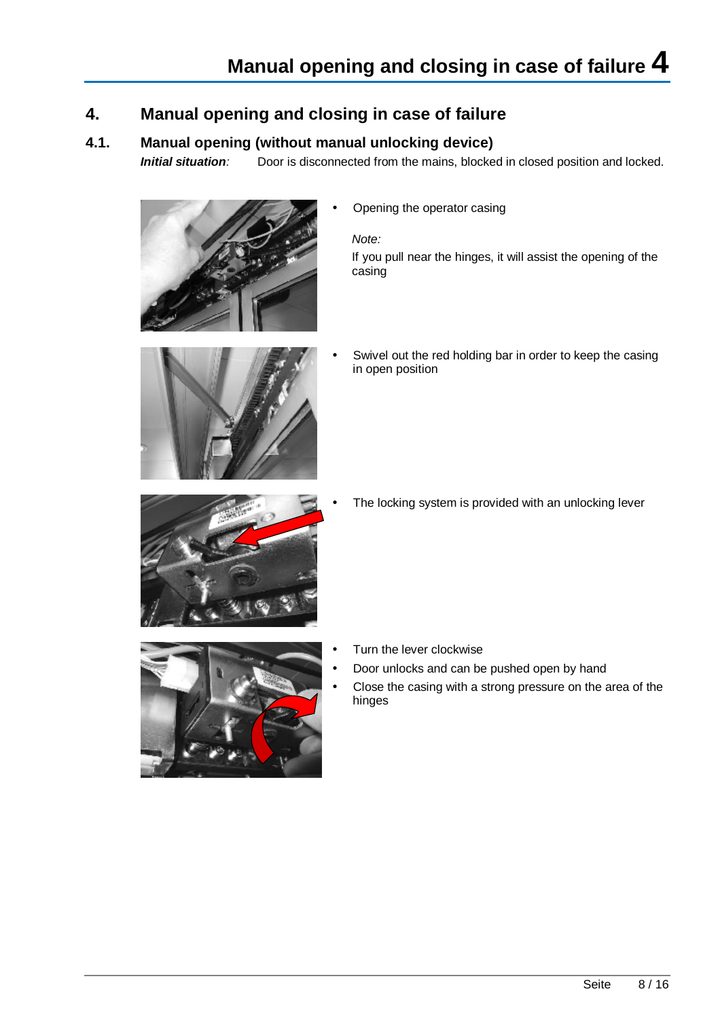# **4. Manual opening and closing in case of failure**

## **4.1. Manual opening (without manual unlocking device)**

*Initial situation:* Door is disconnected from the mains, blocked in closed position and locked.



• Opening the operator casing

*Note:* 

If you pull near the hinges, it will assist the opening of the casing



Swivel out the red holding bar in order to keep the casing in open position



The locking system is provided with an unlocking lever



- Turn the lever clockwise
- Door unlocks and can be pushed open by hand
- Close the casing with a strong pressure on the area of the hinges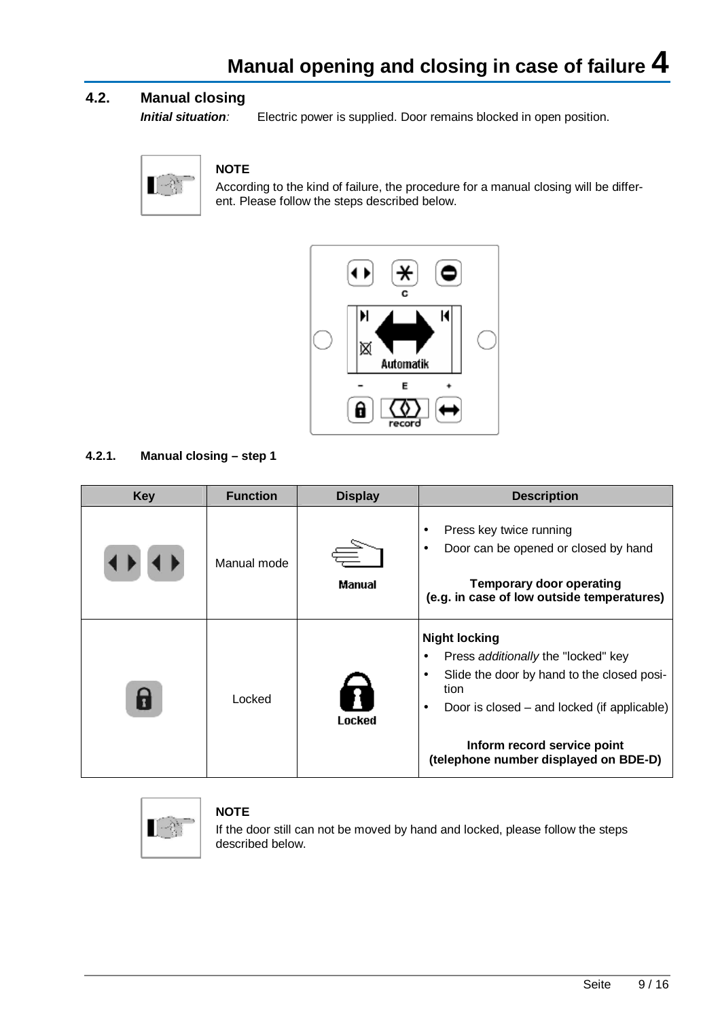## **4.2. Manual closing**

*Initial situation:* Electric power is supplied. Door remains blocked in open position.



### **NOTE**

According to the kind of failure, the procedure for a manual closing will be different. Please follow the steps described below.



### **4.2.1. Manual closing – step 1**

| <b>Key</b> | <b>Function</b> | <b>Display</b> | <b>Description</b>                                                                                                                                                                                                                                                              |
|------------|-----------------|----------------|---------------------------------------------------------------------------------------------------------------------------------------------------------------------------------------------------------------------------------------------------------------------------------|
|            | Manual mode     | Manual         | Press key twice running<br>٠<br>Door can be opened or closed by hand<br>$\bullet$<br><b>Temporary door operating</b><br>(e.g. in case of low outside temperatures)                                                                                                              |
|            | Locked          | Locked         | <b>Night locking</b><br>Press additionally the "locked" key<br>$\bullet$<br>Slide the door by hand to the closed posi-<br>$\bullet$<br>tion<br>Door is closed – and locked (if applicable)<br>$\bullet$<br>Inform record service point<br>(telephone number displayed on BDE-D) |



### **NOTE**

If the door still can not be moved by hand and locked, please follow the steps described below.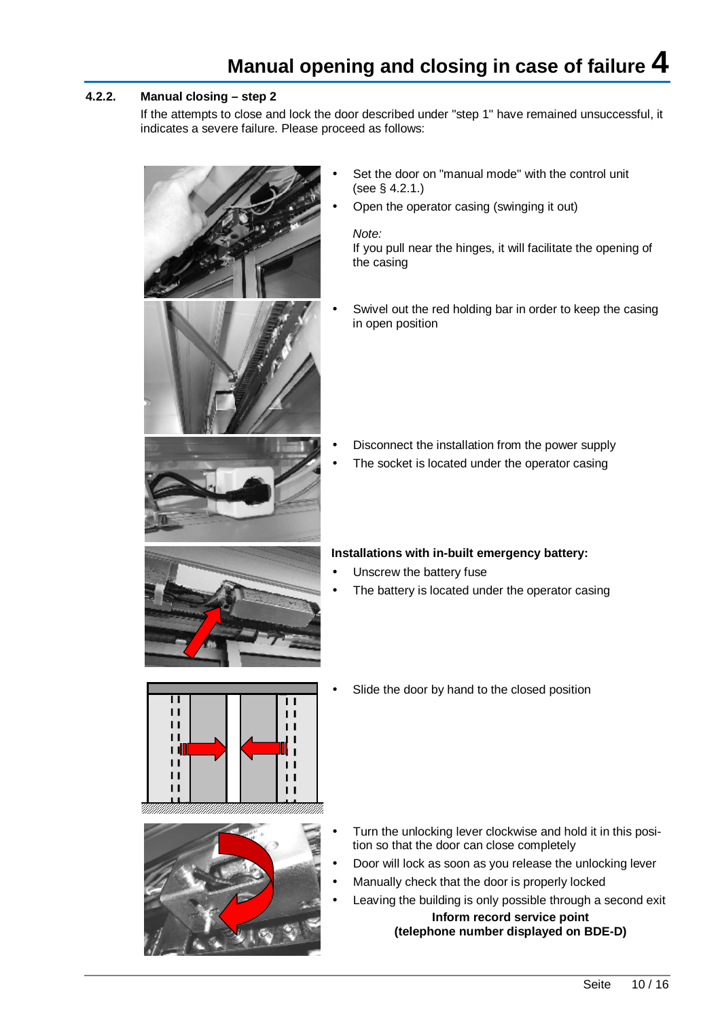# **Manual opening and closing in case of failure 4**

### **4.2.2. Manual closing – step 2**

If the attempts to close and lock the door described under "step 1" have remained unsuccessful, it indicates a severe failure. Please proceed as follows:



- Set the door on "manual mode" with the control unit (see § 4.2.1.)
- Open the operator casing (swinging it out)

*Note:*  If you pull near the hinges, it will facilitate the opening of the casing

Swivel out the red holding bar in order to keep the casing in open position

- Disconnect the installation from the power supply
- The socket is located under the operator casing

### **Installations with in-built emergency battery:**

- Unscrew the battery fuse
- The battery is located under the operator casing

• Slide the door by hand to the closed position





- Turn the unlocking lever clockwise and hold it in this position so that the door can close completely
- Door will lock as soon as you release the unlocking lever
- Manually check that the door is properly locked
- Leaving the building is only possible through a second exit **Inform record service point (telephone number displayed on BDE-D)**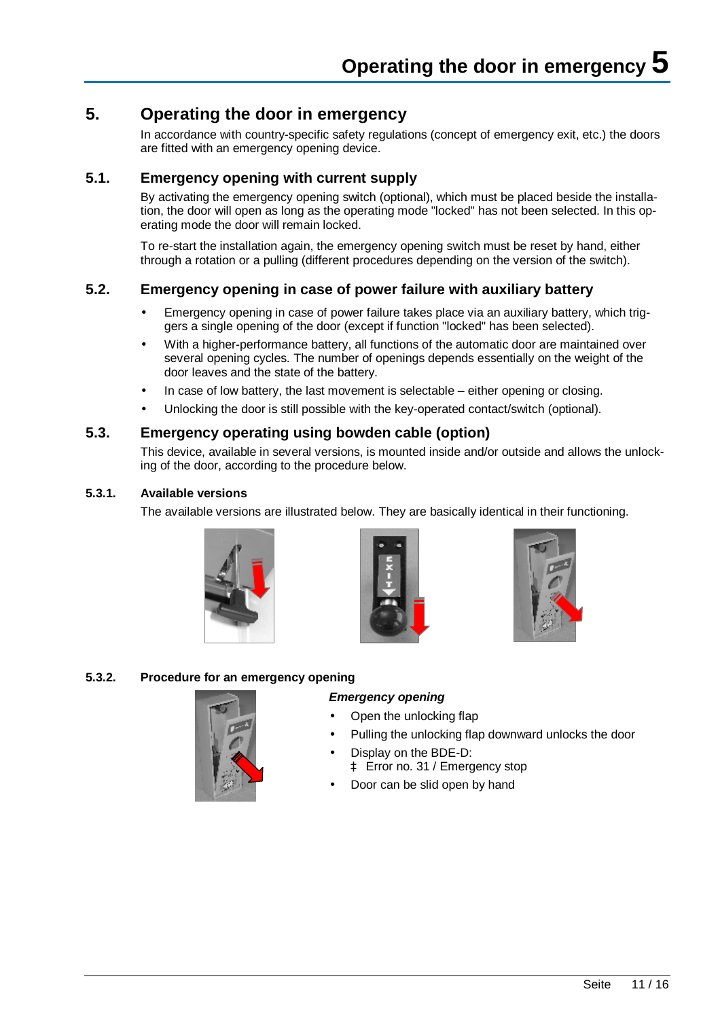# **5. Operating the door in emergency**

In accordance with country-specific safety regulations (concept of emergency exit, etc.) the doors are fitted with an emergency opening device.

## **5.1. Emergency opening with current supply**

By activating the emergency opening switch (optional), which must be placed beside the installation, the door will open as long as the operating mode "locked" has not been selected. In this operating mode the door will remain locked.

To re-start the installation again, the emergency opening switch must be reset by hand, either through a rotation or a pulling (different procedures depending on the version of the switch).

## **5.2. Emergency opening in case of power failure with auxiliary battery**

- Emergency opening in case of power failure takes place via an auxiliary battery, which triggers a single opening of the door (except if function "locked" has been selected).
- With a higher-performance battery, all functions of the automatic door are maintained over several opening cycles. The number of openings depends essentially on the weight of the door leaves and the state of the battery.
- In case of low battery, the last movement is selectable either opening or closing.
- Unlocking the door is still possible with the key-operated contact/switch (optional).

## **5.3. Emergency operating using bowden cable (option)**

This device, available in several versions, is mounted inside and/or outside and allows the unlocking of the door, according to the procedure below.

### **5.3.1. Available versions**

The available versions are illustrated below. They are basically identical in their functioning.







#### **5.3.2. Procedure for an emergency opening**

# *Emergency opening*

- Open the unlocking flap
- Pulling the unlocking flap downward unlocks the door
- Display on the BDE-D: à Error no. 31 / Emergency stop
- Door can be slid open by hand

Seite 11 / 16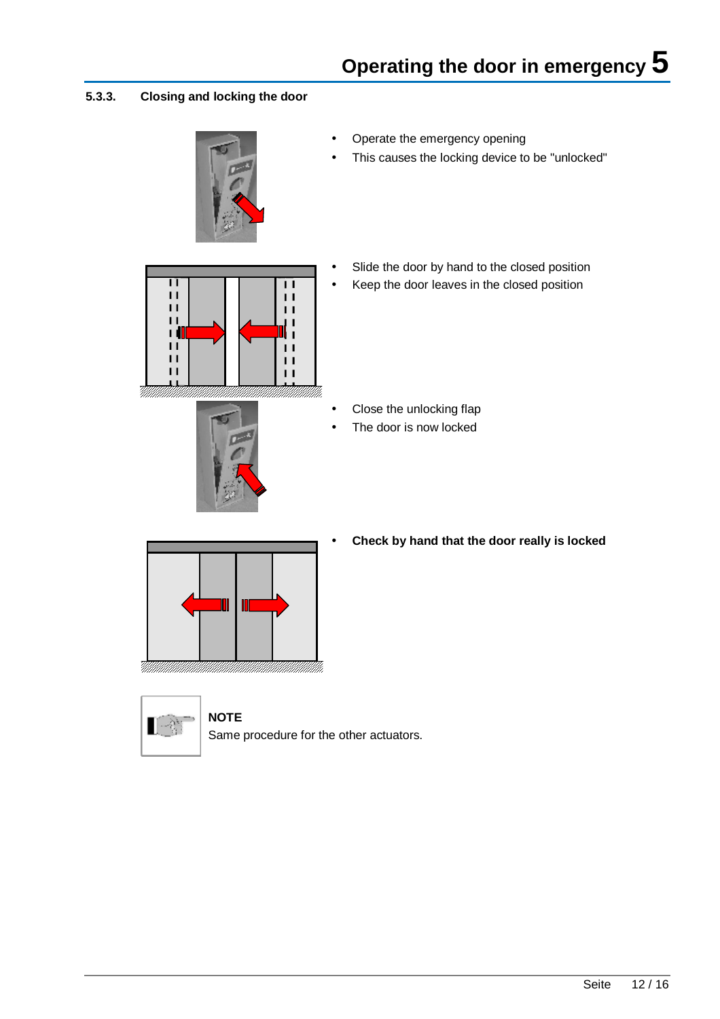### **5.3.3. Closing and locking the door**



- Operate the emergency opening
- This causes the locking device to be "unlocked"





- Slide the door by hand to the closed position
- Keep the door leaves in the closed position

- Close the unlocking flap
- The door is now locked



**NOTE** 

• **Check by hand that the door really is locked** 



Same procedure for the other actuators.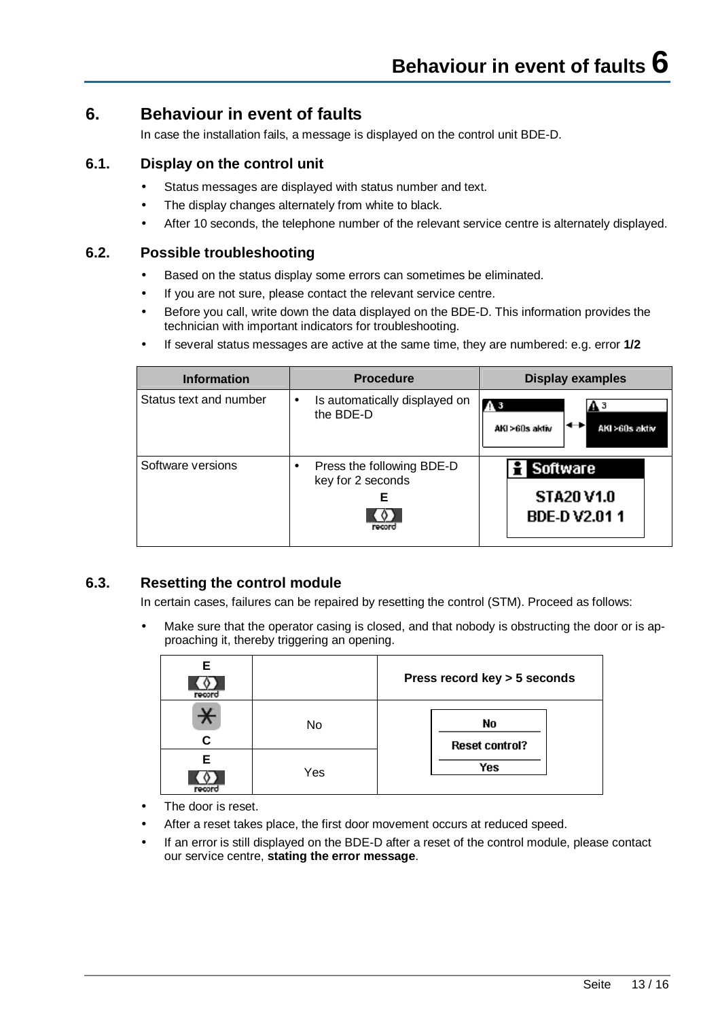## **6. Behaviour in event of faults**

In case the installation fails, a message is displayed on the control unit BDE-D.

## **6.1. Display on the control unit**

- Status messages are displayed with status number and text.
- The display changes alternately from white to black.
- After 10 seconds, the telephone number of the relevant service centre is alternately displayed.

### **6.2. Possible troubleshooting**

- Based on the status display some errors can sometimes be eliminated.
- If you are not sure, please contact the relevant service centre.
- Before you call, write down the data displayed on the BDE-D. This information provides the technician with important indicators for troubleshooting.
- If several status messages are active at the same time, they are numbered: e.g. error **1/2**

| <b>Information</b>     | <b>Procedure</b>                                              | <b>Display examples</b>                                          |
|------------------------|---------------------------------------------------------------|------------------------------------------------------------------|
| Status text and number | Is automatically displayed on<br>$\bullet$<br>the BDE-D       | $\Lambda$ <sub>3</sub><br>ΑЗ<br>AKI >60s aktiv<br>AKI >60s aktiv |
| Software versions      | Press the following BDE-D<br>key for 2 seconds<br>Е<br>rocorc | <b>Software</b><br><b>STA20 V1.0</b><br><b>BDE-DV2.011</b>       |

## **6.3. Resetting the control module**

In certain cases, failures can be repaired by resetting the control (STM). Proceed as follows:

Make sure that the operator casing is closed, and that nobody is obstructing the door or is approaching it, thereby triggering an opening.

| Е<br>record  |     | Press record key > 5 seconds |
|--------------|-----|------------------------------|
| $\star$<br>C | No  | No<br><b>Reset control?</b>  |
| Е            | Yes | Yes                          |

- The door is reset.
- After a reset takes place, the first door movement occurs at reduced speed.
- If an error is still displayed on the BDE-D after a reset of the control module, please contact our service centre, **stating the error message**.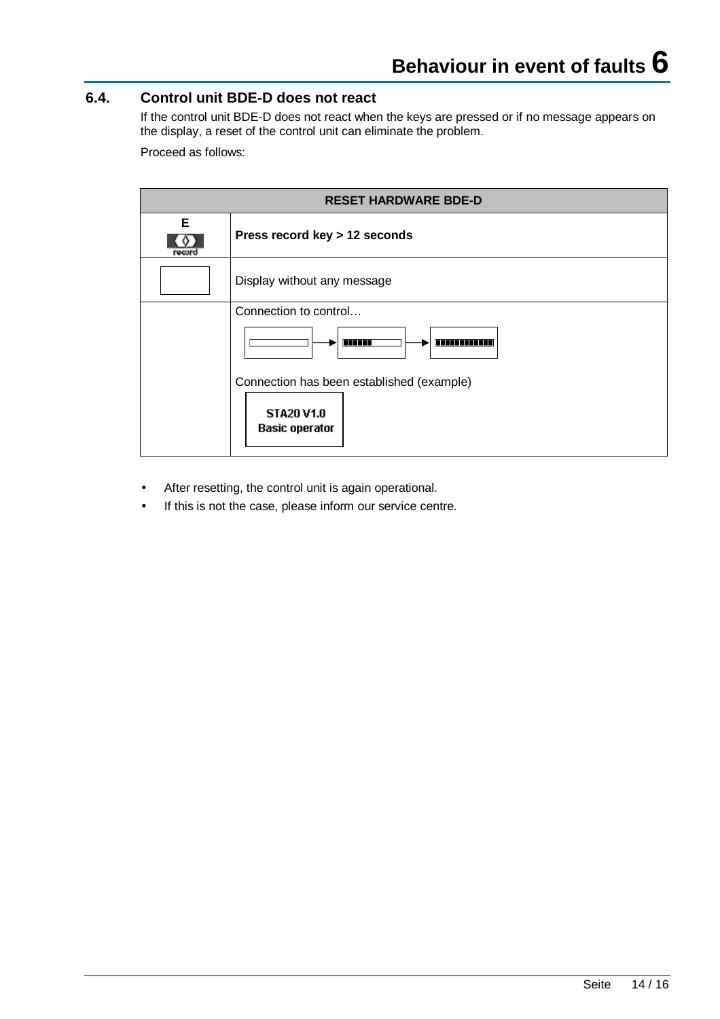## **6.4. Control unit BDE-D does not react**

If the control unit BDE-D does not react when the keys are pressed or if no message appears on the display, a reset of the control unit can eliminate the problem.

Proceed as follows:

| <b>RESET HARDWARE BDE-D</b> |                                            |  |  |  |
|-----------------------------|--------------------------------------------|--|--|--|
| E                           | Press record key > 12 seconds              |  |  |  |
|                             | Display without any message                |  |  |  |
|                             | Connection to control                      |  |  |  |
|                             | <b>ATTELLE</b><br><u>in manana m</u>       |  |  |  |
|                             | Connection has been established (example)  |  |  |  |
|                             | <b>STA20 V1.0</b><br><b>Basic operator</b> |  |  |  |

- After resetting, the control unit is again operational.
- If this is not the case, please inform our service centre.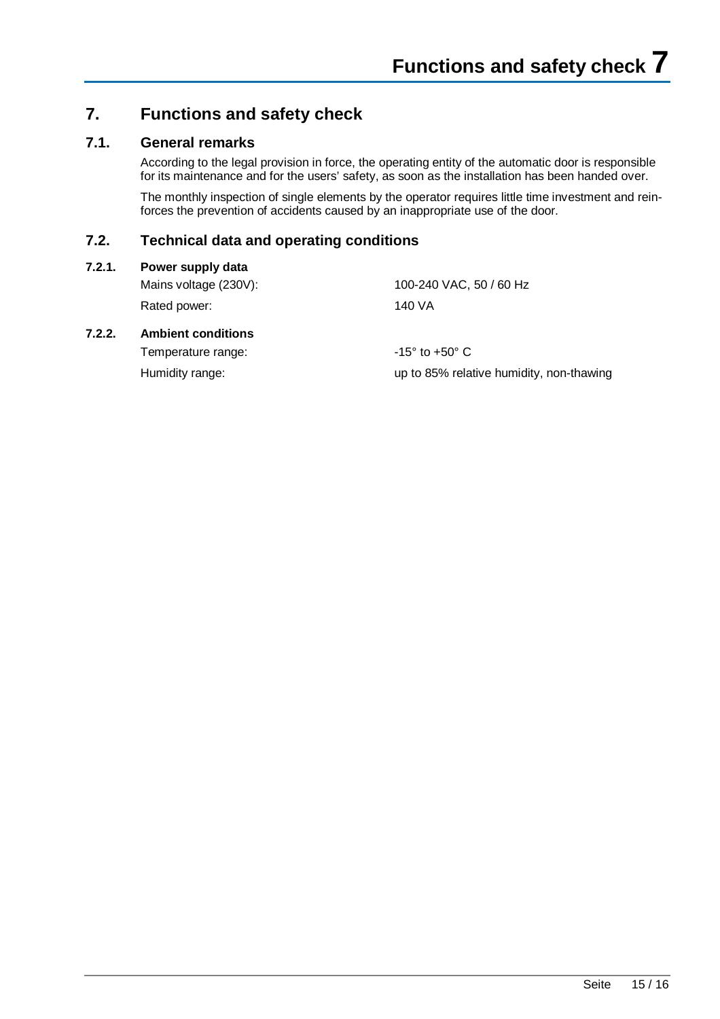# **7. Functions and safety check**

## **7.1. General remarks**

According to the legal provision in force, the operating entity of the automatic door is responsible for its maintenance and for the users' safety, as soon as the installation has been handed over.

The monthly inspection of single elements by the operator requires little time investment and reinforces the prevention of accidents caused by an inappropriate use of the door.

## **7.2. Technical data and operating conditions**

#### **7.2.1. Power supply data**

Rated power: 140 VA

Mains voltage (230V): 100-240 VAC, 50 / 60 Hz

### **7.2.2. Ambient conditions**

Temperature range:  $-15^{\circ}$  to  $+50^{\circ}$  C

Humidity range: up to 85% relative humidity, non-thawing